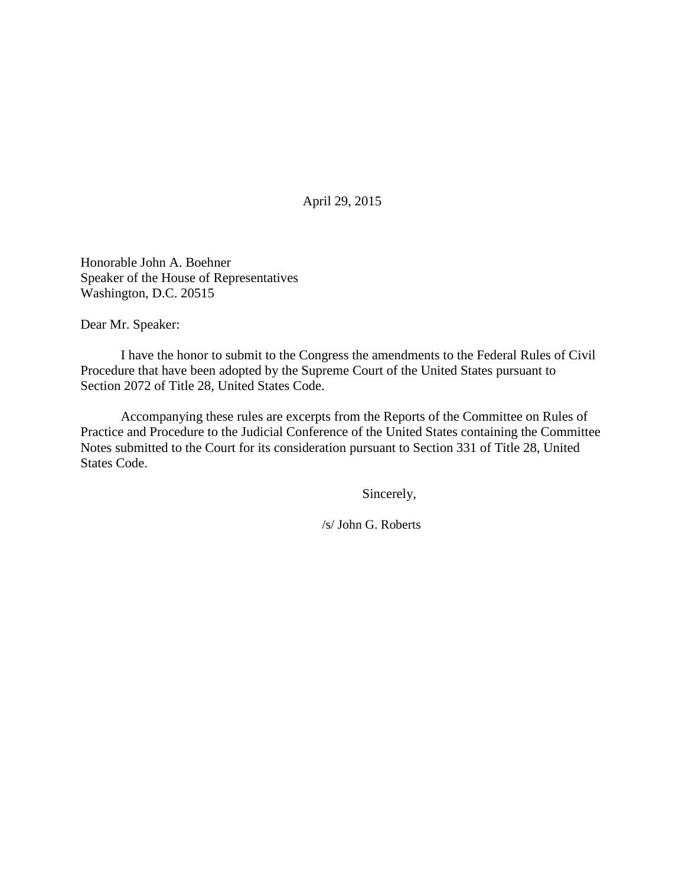April 29, 2015

Honorable John A. Boehner Speaker of the House of Representatives Washington, D.C. 20515

Dear Mr. Speaker:

 I have the honor to submit to the Congress the amendments to the Federal Rules of Civil Procedure that have been adopted by the Supreme Court of the United States pursuant to Section 2072 of Title 28, United States Code.

Accompanying these rules are excerpts from the Reports of the Committee on Rules of Practice and Procedure to the Judicial Conference of the United States containing the Committee Notes submitted to the Court for its consideration pursuant to Section 331 of Title 28, United States Code.

Sincerely,

/s/ John G. Roberts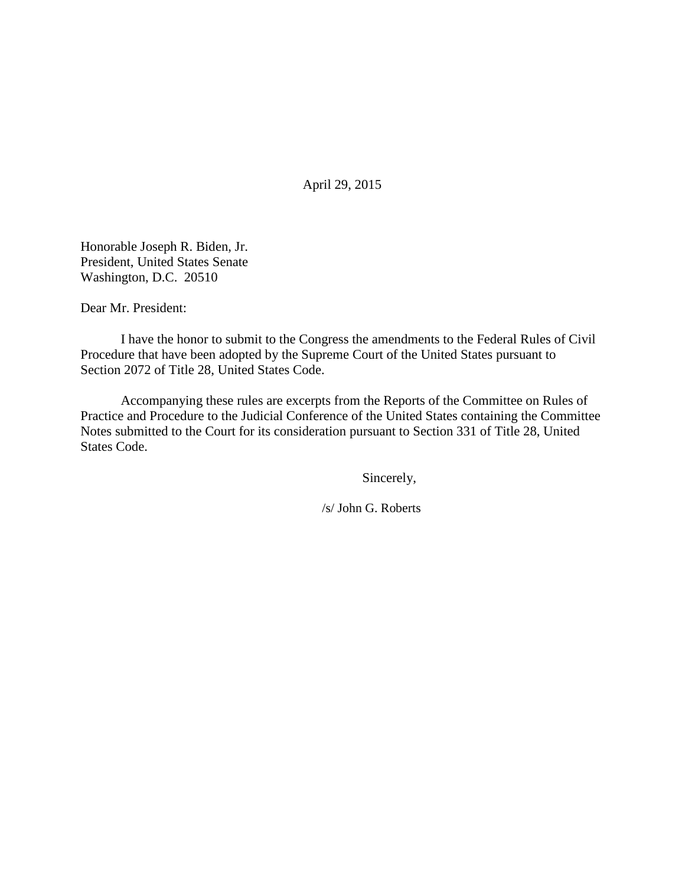April 29, 2015

Honorable Joseph R. Biden, Jr. President, United States Senate Washington, D.C. 20510

Dear Mr. President:

 I have the honor to submit to the Congress the amendments to the Federal Rules of Civil Procedure that have been adopted by the Supreme Court of the United States pursuant to Section 2072 of Title 28, United States Code.

Accompanying these rules are excerpts from the Reports of the Committee on Rules of Practice and Procedure to the Judicial Conference of the United States containing the Committee Notes submitted to the Court for its consideration pursuant to Section 331 of Title 28, United States Code.

Sincerely,

/s/ John G. Roberts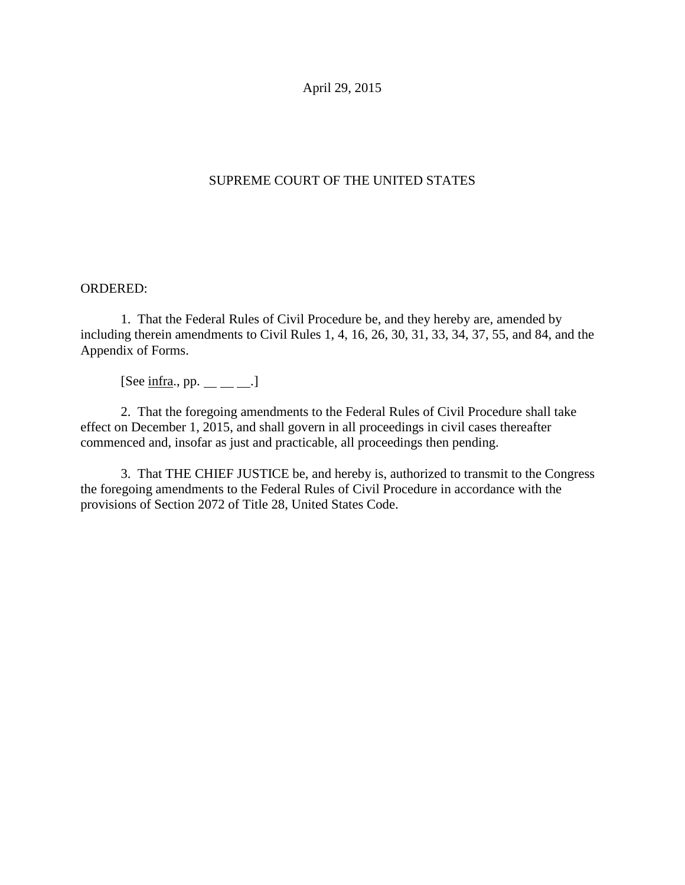April 29, 2015

# SUPREME COURT OF THE UNITED STATES

## ORDERED:

1. That the Federal Rules of Civil Procedure be, and they hereby are, amended by including therein amendments to Civil Rules 1, 4, 16, 26, 30, 31, 33, 34, 37, 55, and 84, and the Appendix of Forms.

[See  $\text{infra.}$ , pp.  $\_\_\_\_\_\_\_\$ .]

 2. That the foregoing amendments to the Federal Rules of Civil Procedure shall take effect on December 1, 2015, and shall govern in all proceedings in civil cases thereafter commenced and, insofar as just and practicable, all proceedings then pending.

 3. That THE CHIEF JUSTICE be, and hereby is, authorized to transmit to the Congress the foregoing amendments to the Federal Rules of Civil Procedure in accordance with the provisions of Section 2072 of Title 28, United States Code.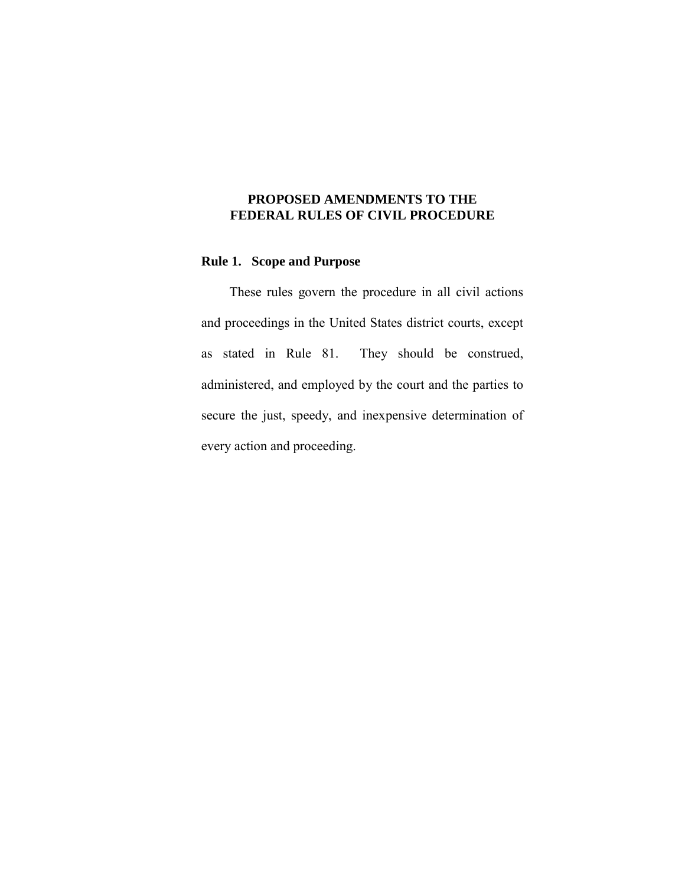## **PROPOSED AMENDMENTS TO THE FEDERAL RULES OF CIVIL PROCEDURE**

## **Rule 1. Scope and Purpose**

 These rules govern the procedure in all civil actions and proceedings in the United States district courts, except as stated in Rule 81. They should be construed, administered, and employed by the court and the parties to secure the just, speedy, and inexpensive determination of every action and proceeding.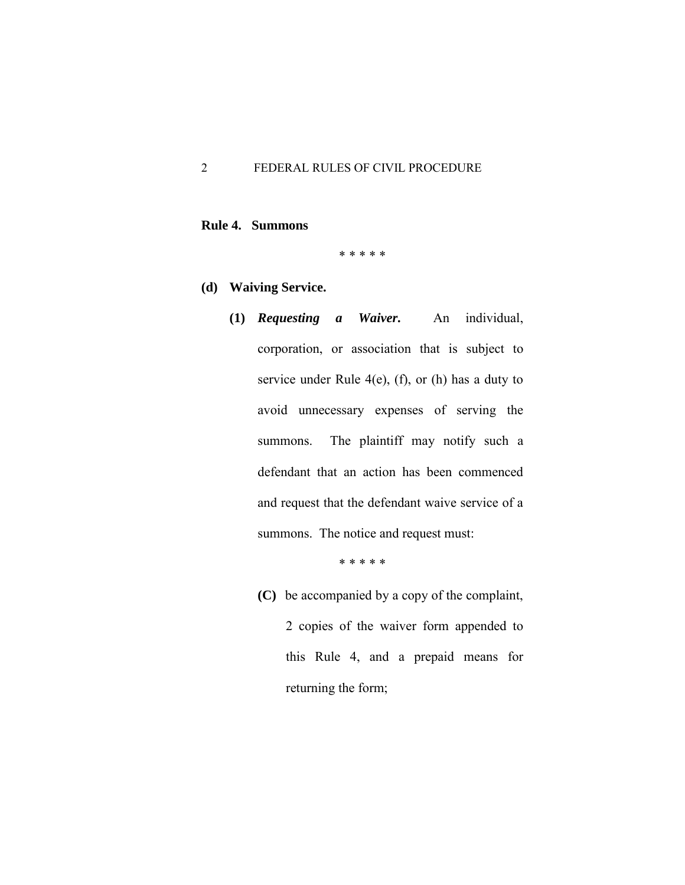## **Rule 4. Summons**

\* \* \* \* \*

- **(d) Waiving Service.** 
	- **(1)** *Requesting a Waiver.* An individual, corporation, or association that is subject to service under Rule  $4(e)$ , (f), or (h) has a duty to avoid unnecessary expenses of serving the summons. The plaintiff may notify such a defendant that an action has been commenced and request that the defendant waive service of a summons. The notice and request must:

\* \* \* \* \*

 **(C)** be accompanied by a copy of the complaint, 2 copies of the waiver form appended to this Rule 4, and a prepaid means for returning the form;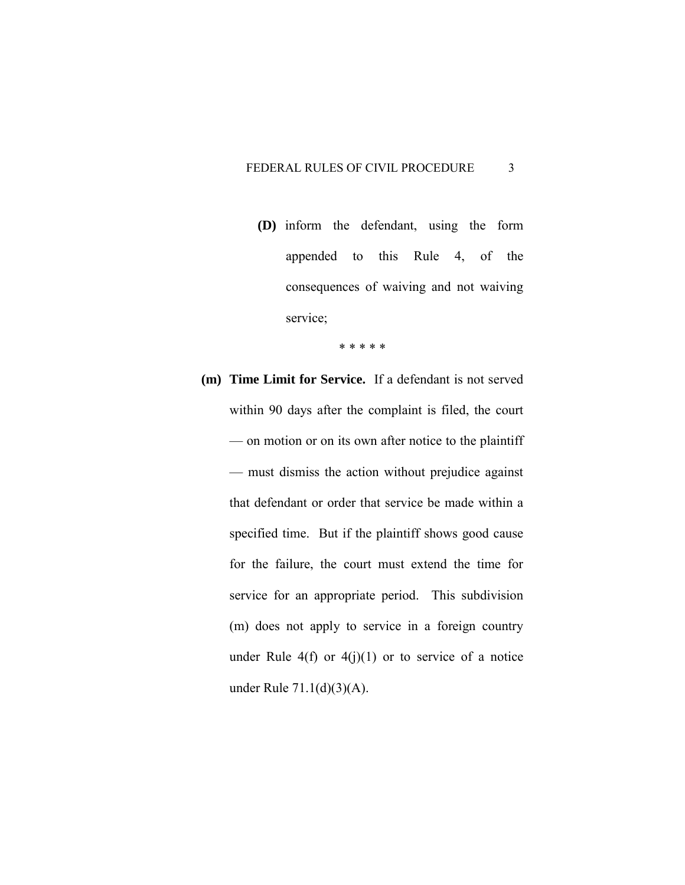**(D)** inform the defendant, using the form appended to this Rule 4, of the consequences of waiving and not waiving service;

\* \* \* \* \*

**(m) Time Limit for Service.** If a defendant is not served within 90 days after the complaint is filed, the court — on motion or on its own after notice to the plaintiff — must dismiss the action without prejudice against that defendant or order that service be made within a specified time. But if the plaintiff shows good cause for the failure, the court must extend the time for service for an appropriate period. This subdivision (m) does not apply to service in a foreign country under Rule  $4(f)$  or  $4(j)(1)$  or to service of a notice under Rule 71.1(d)(3)(A).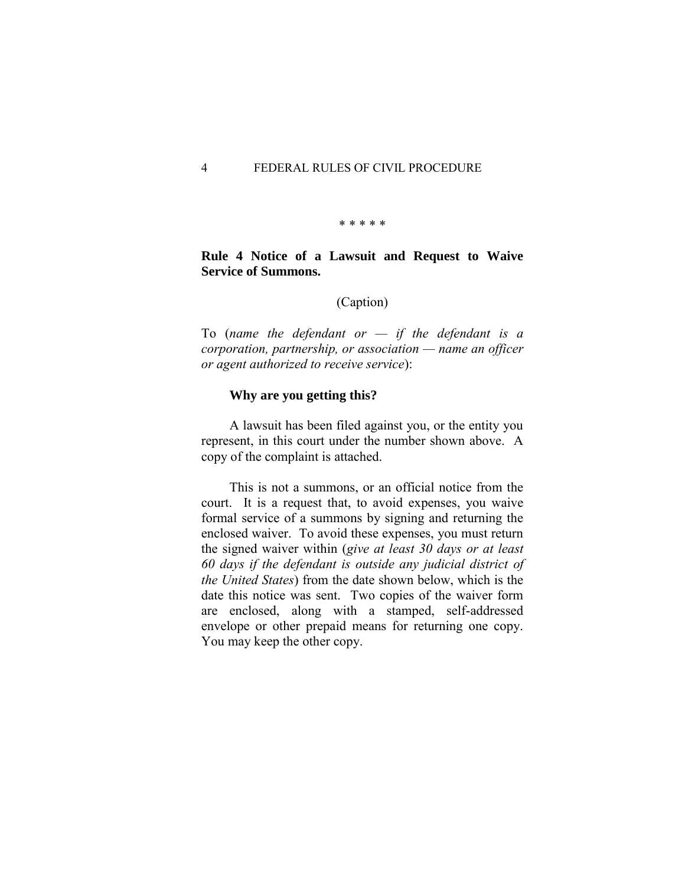\* \* \* \* \*

### **Rule 4 Notice of a Lawsuit and Request to Waive Service of Summons.**

(Caption)

To (*name the defendant or — if the defendant is a corporation, partnership, or association — name an officer or agent authorized to receive service*):

#### **Why are you getting this?**

 A lawsuit has been filed against you, or the entity you represent, in this court under the number shown above. A copy of the complaint is attached.

 This is not a summons, or an official notice from the court. It is a request that, to avoid expenses, you waive formal service of a summons by signing and returning the enclosed waiver. To avoid these expenses, you must return the signed waiver within (*give at least 30 days or at least 60 days if the defendant is outside any judicial district of the United States*) from the date shown below, which is the date this notice was sent. Two copies of the waiver form are enclosed, along with a stamped, self-addressed envelope or other prepaid means for returning one copy. You may keep the other copy.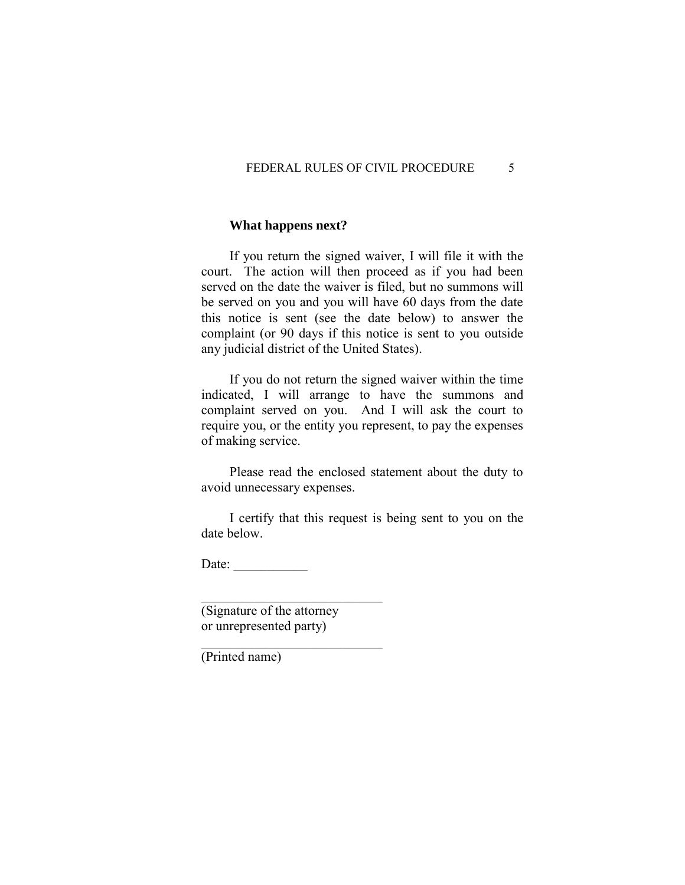### **What happens next?**

 If you return the signed waiver, I will file it with the court. The action will then proceed as if you had been served on the date the waiver is filed, but no summons will be served on you and you will have 60 days from the date this notice is sent (see the date below) to answer the complaint (or 90 days if this notice is sent to you outside any judicial district of the United States).

 If you do not return the signed waiver within the time indicated, I will arrange to have the summons and complaint served on you. And I will ask the court to require you, or the entity you represent, to pay the expenses of making service.

 Please read the enclosed statement about the duty to avoid unnecessary expenses.

 I certify that this request is being sent to you on the date below.

Date:  $\frac{1}{\sqrt{1-\frac{1}{2}}\cdot\frac{1}{2}}$ 

(Signature of the attorney or unrepresented party)

\_\_\_\_\_\_\_\_\_\_\_\_\_\_\_\_\_\_\_\_\_\_\_\_\_\_\_

\_\_\_\_\_\_\_\_\_\_\_\_\_\_\_\_\_\_\_\_\_\_\_\_\_\_\_

(Printed name)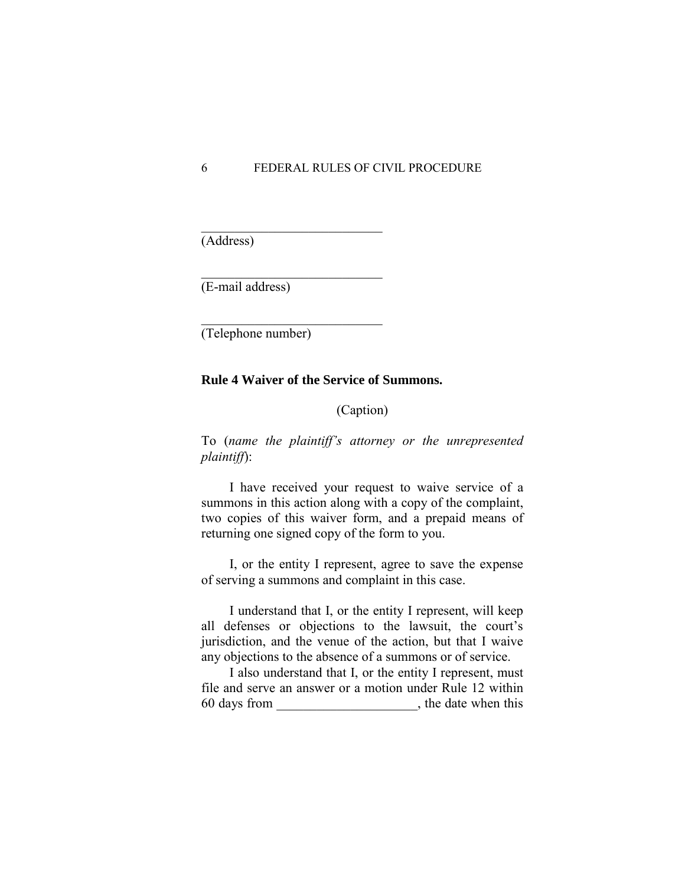(Address)

(E-mail address)

(Telephone number)

\_\_\_\_\_\_\_\_\_\_\_\_\_\_\_\_\_\_\_\_\_\_\_\_\_\_\_

\_\_\_\_\_\_\_\_\_\_\_\_\_\_\_\_\_\_\_\_\_\_\_\_\_\_\_

\_\_\_\_\_\_\_\_\_\_\_\_\_\_\_\_\_\_\_\_\_\_\_\_\_\_\_

#### **Rule 4 Waiver of the Service of Summons.**

(Caption)

To (*name the plaintiff's attorney or the unrepresented plaintiff*):

 I have received your request to waive service of a summons in this action along with a copy of the complaint, two copies of this waiver form, and a prepaid means of returning one signed copy of the form to you.

 I, or the entity I represent, agree to save the expense of serving a summons and complaint in this case.

 I understand that I, or the entity I represent, will keep all defenses or objections to the lawsuit, the court's jurisdiction, and the venue of the action, but that I waive any objections to the absence of a summons or of service.

 I also understand that I, or the entity I represent, must file and serve an answer or a motion under Rule 12 within 60 days from \_\_\_\_\_\_\_\_\_\_\_\_\_\_\_\_\_\_\_\_\_, the date when this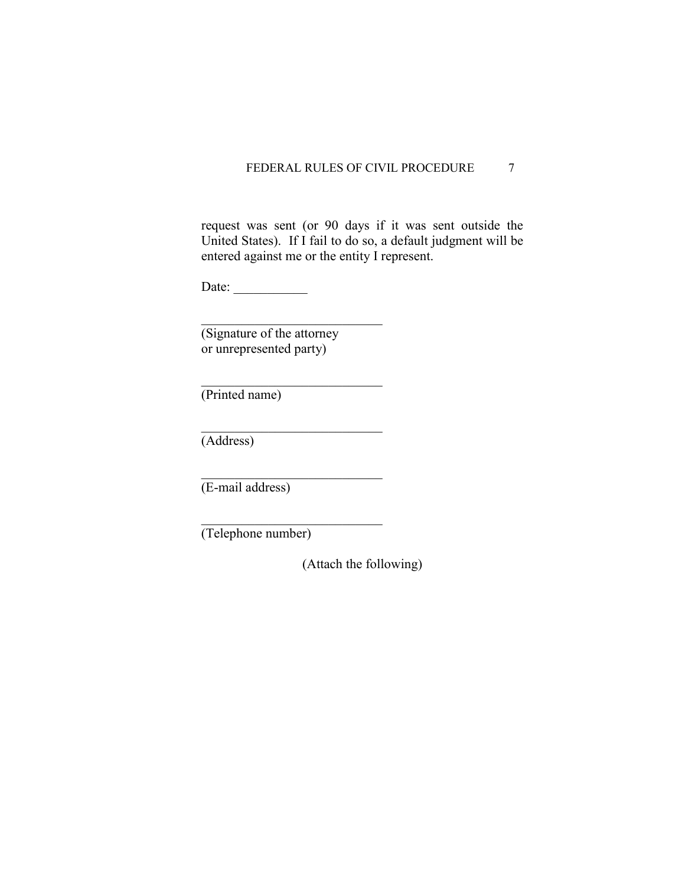request was sent (or 90 days if it was sent outside the United States). If I fail to do so, a default judgment will be entered against me or the entity I represent.

Date: \_\_\_\_\_\_\_\_\_\_\_

(Signature of the attorney or unrepresented party)

\_\_\_\_\_\_\_\_\_\_\_\_\_\_\_\_\_\_\_\_\_\_\_\_\_\_\_

\_\_\_\_\_\_\_\_\_\_\_\_\_\_\_\_\_\_\_\_\_\_\_\_\_\_\_

\_\_\_\_\_\_\_\_\_\_\_\_\_\_\_\_\_\_\_\_\_\_\_\_\_\_\_

 $\mathcal{L}_\text{max}$  , where  $\mathcal{L}_\text{max}$  and  $\mathcal{L}_\text{max}$ 

\_\_\_\_\_\_\_\_\_\_\_\_\_\_\_\_\_\_\_\_\_\_\_\_\_\_\_

(Printed name)

(Address)

(E-mail address)

(Telephone number)

(Attach the following)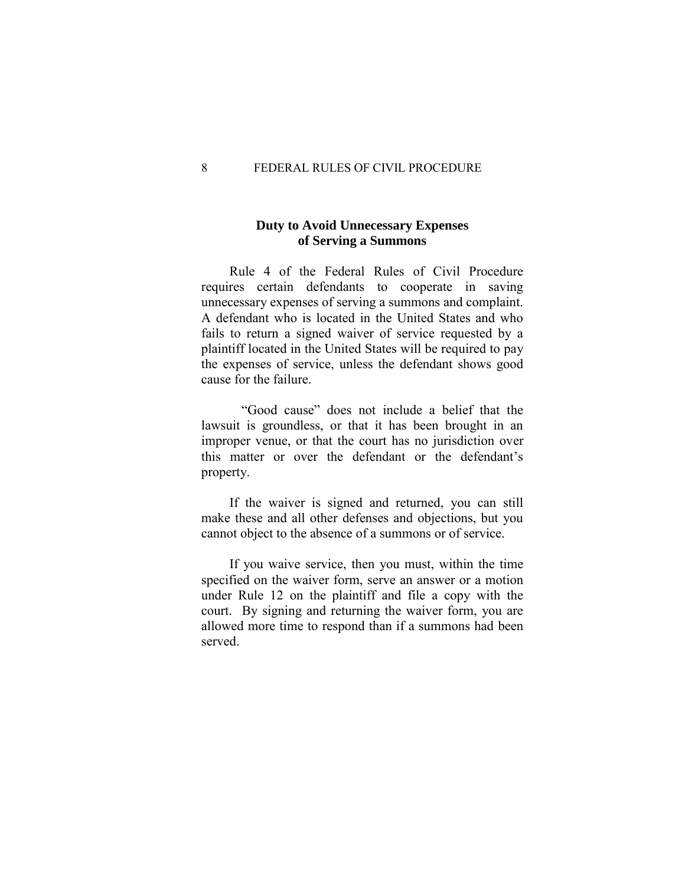## **Duty to Avoid Unnecessary Expenses of Serving a Summons**

 Rule 4 of the Federal Rules of Civil Procedure requires certain defendants to cooperate in saving unnecessary expenses of serving a summons and complaint. A defendant who is located in the United States and who fails to return a signed waiver of service requested by a plaintiff located in the United States will be required to pay the expenses of service, unless the defendant shows good cause for the failure.

 "Good cause" does not include a belief that the lawsuit is groundless, or that it has been brought in an improper venue, or that the court has no jurisdiction over this matter or over the defendant or the defendant's property.

 If the waiver is signed and returned, you can still make these and all other defenses and objections, but you cannot object to the absence of a summons or of service.

 If you waive service, then you must, within the time specified on the waiver form, serve an answer or a motion under Rule 12 on the plaintiff and file a copy with the court. By signing and returning the waiver form, you are allowed more time to respond than if a summons had been served.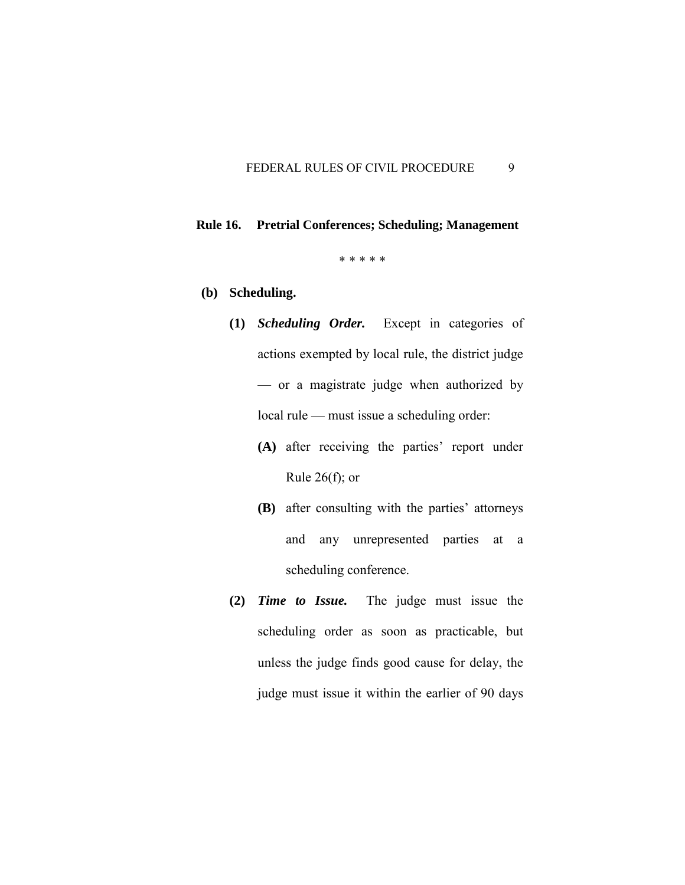# **Rule 16. Pretrial Conferences; Scheduling; Management**

\* \* \* \* \*

## **(b) Scheduling.**

- **(1)** *Scheduling Order.* Except in categories of actions exempted by local rule, the district judge — or a magistrate judge when authorized by local rule — must issue a scheduling order:
	- **(A)** after receiving the parties' report under Rule  $26(f)$ ; or
	- **(B)** after consulting with the parties' attorneys and any unrepresented parties at a scheduling conference.
- **(2)** *Time to Issue.* The judge must issue the scheduling order as soon as practicable, but unless the judge finds good cause for delay, the judge must issue it within the earlier of 90 days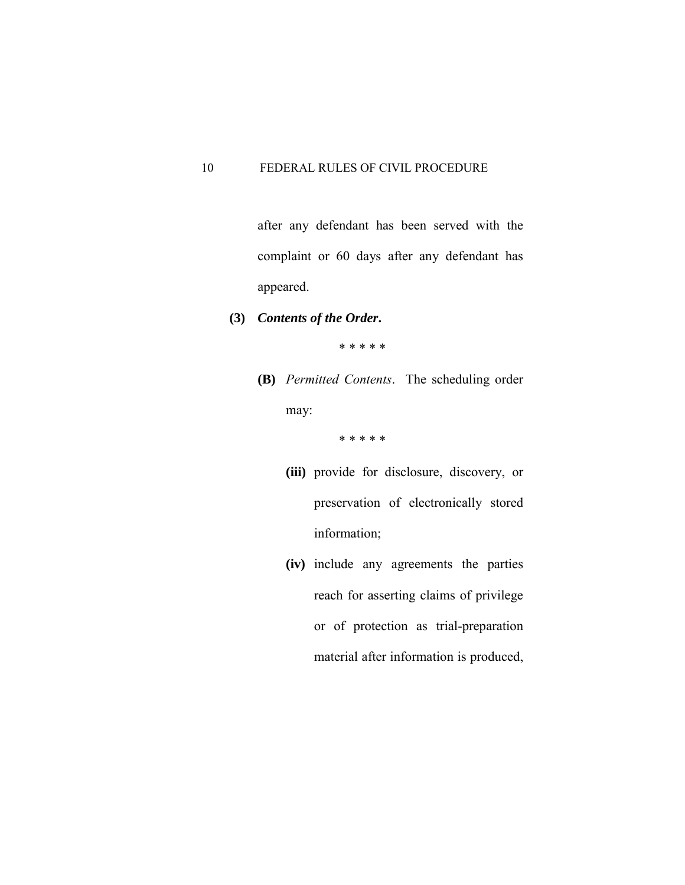after any defendant has been served with the complaint or 60 days after any defendant has appeared.

**(3)** *Contents of the Order***.**

\* \* \* \* \*

 **(B)** *Permitted Contents*. The scheduling order may:

- **(iii)** provide for disclosure, discovery, or preservation of electronically stored information;
- **(iv)** include any agreements the parties reach for asserting claims of privilege or of protection as trial-preparation material after information is produced,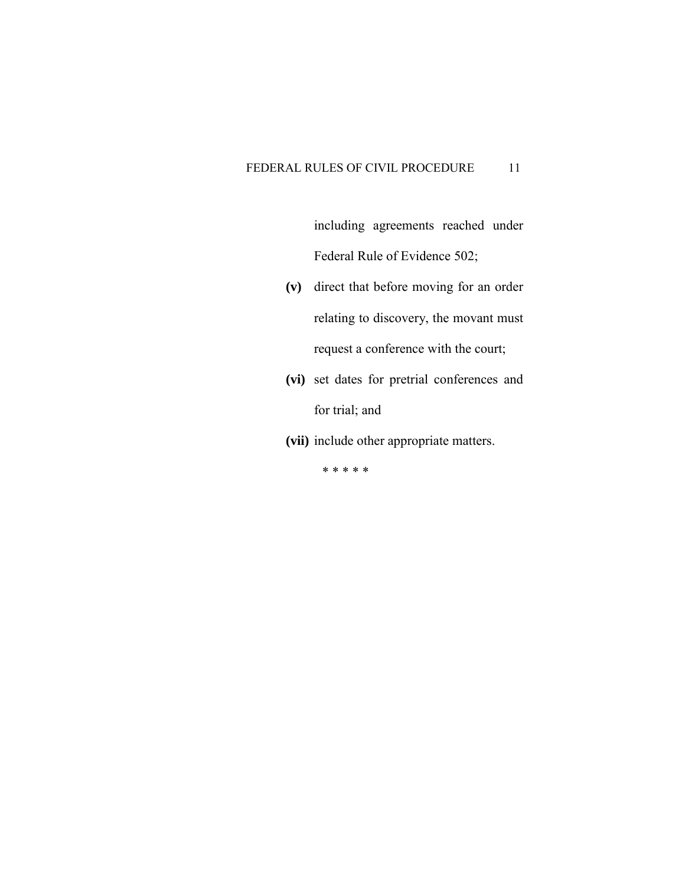including agreements reached under Federal Rule of Evidence 502;

- **(v)** direct that before moving for an order relating to discovery, the movant must request a conference with the court;
- **(vi)** set dates for pretrial conferences and for trial; and
- **(vii)** include other appropriate matters.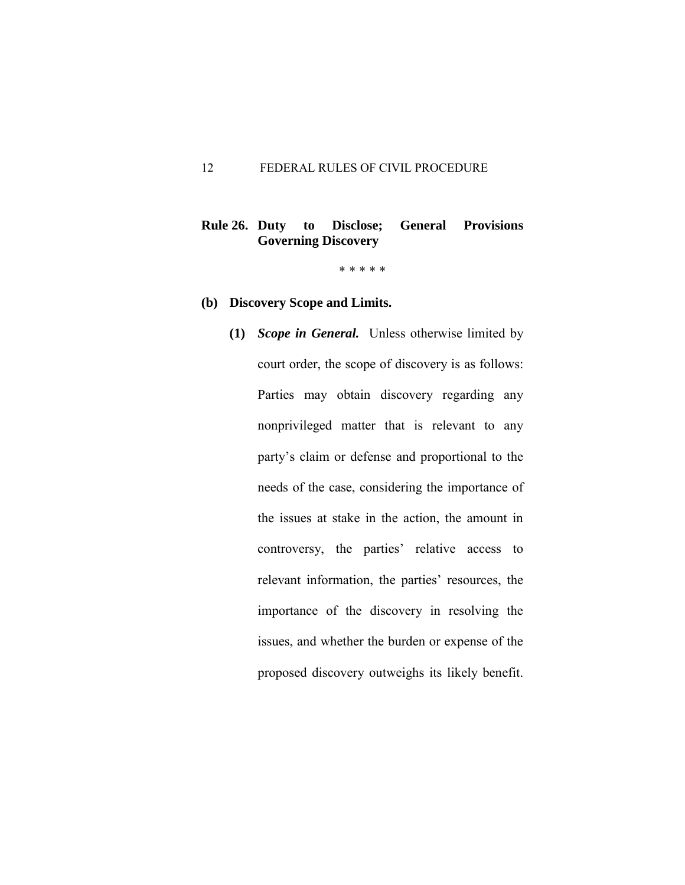## **Rule 26. Duty to Disclose; General Provisions Governing Discovery**

- **(b) Discovery Scope and Limits.**
	- **(1)** *Scope in General.* Unless otherwise limited by court order, the scope of discovery is as follows: Parties may obtain discovery regarding any nonprivileged matter that is relevant to any party's claim or defense and proportional to the needs of the case, considering the importance of the issues at stake in the action, the amount in controversy, the parties' relative access to relevant information, the parties' resources, the importance of the discovery in resolving the issues, and whether the burden or expense of the proposed discovery outweighs its likely benefit.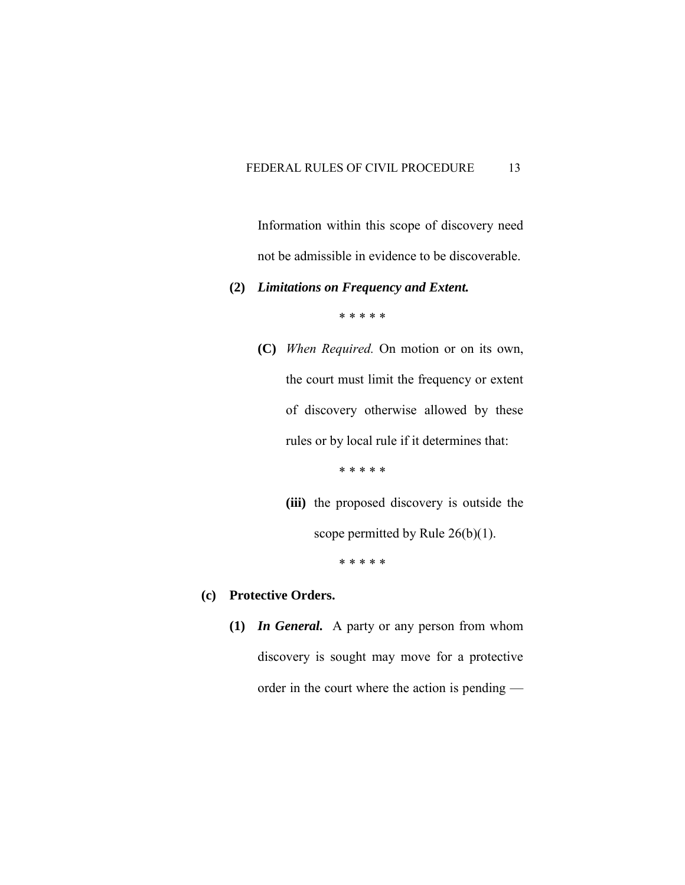Information within this scope of discovery need not be admissible in evidence to be discoverable.

#### **(2)** *Limitations on Frequency and Extent.*

\* \* \* \* \*

 **(C)** *When Required.* On motion or on its own, the court must limit the frequency or extent of discovery otherwise allowed by these rules or by local rule if it determines that:

\* \* \* \* \*

**(iii)** the proposed discovery is outside the

scope permitted by Rule 26(b)(1).

\* \* \* \* \*

## **(c) Protective Orders.**

**(1)** *In General.* A party or any person from whom discovery is sought may move for a protective order in the court where the action is pending —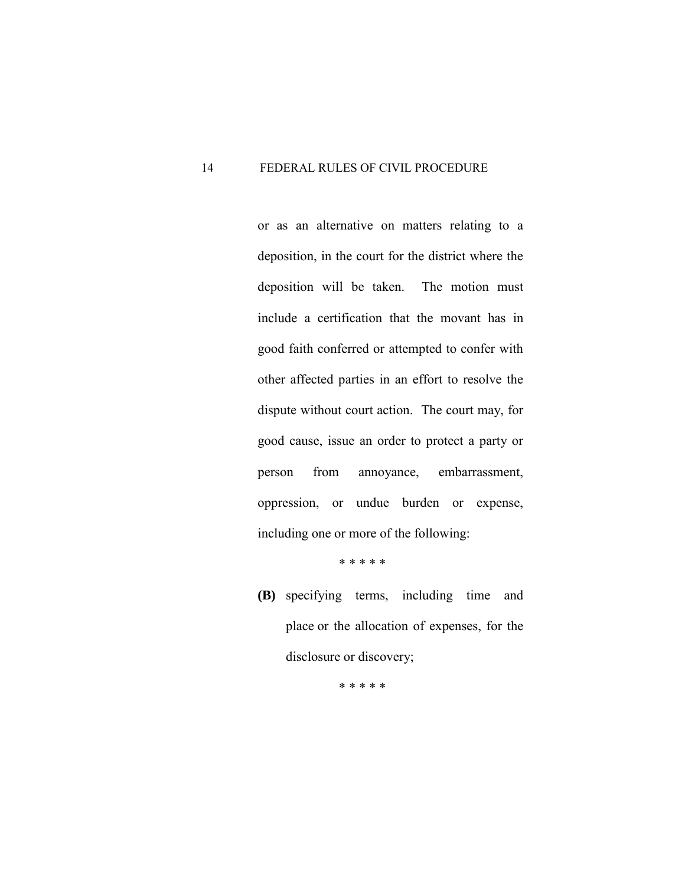or as an alternative on matters relating to a deposition, in the court for the district where the deposition will be taken. The motion must include a certification that the movant has in good faith conferred or attempted to confer with other affected parties in an effort to resolve the dispute without court action. The court may, for good cause, issue an order to protect a party or person from annoyance, embarrassment, oppression, or undue burden or expense, including one or more of the following:

\* \* \* \* \*

 **(B)** specifying terms, including time and place or the allocation of expenses, for the disclosure or discovery;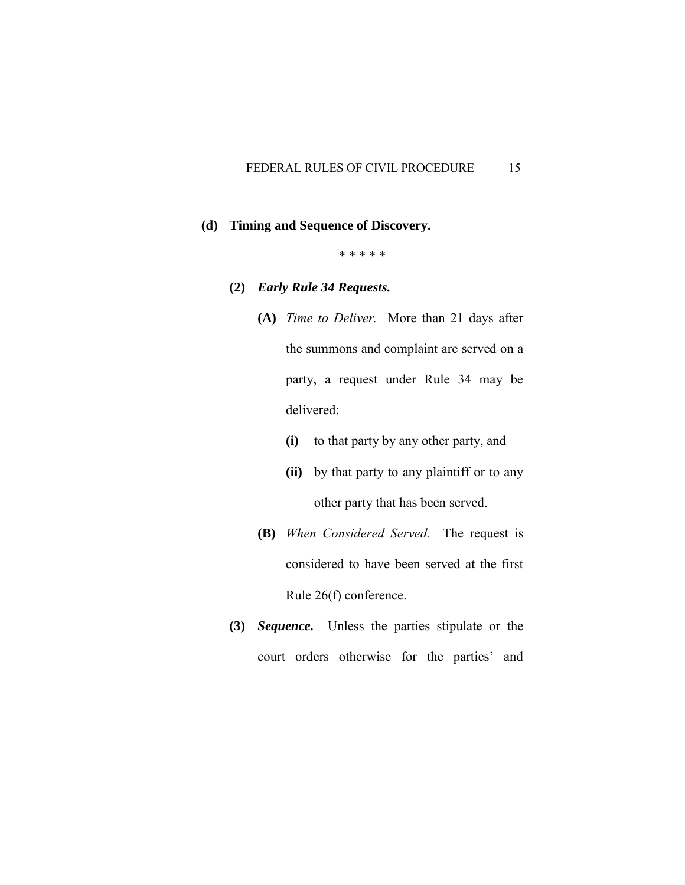#### **(d) Timing and Sequence of Discovery.**

- **(2)** *Early Rule 34 Requests.*
	- **(A)** *Time to Deliver.* More than 21 days after the summons and complaint are served on a party, a request under Rule 34 may be delivered:
		- **(i)** to that party by any other party, and
		- **(ii)** by that party to any plaintiff or to any other party that has been served.
	- **(B)** *When Considered Served.* The request is considered to have been served at the first Rule 26(f) conference.
- **(3)** *Sequence.* Unless the parties stipulate or the court orders otherwise for the parties' and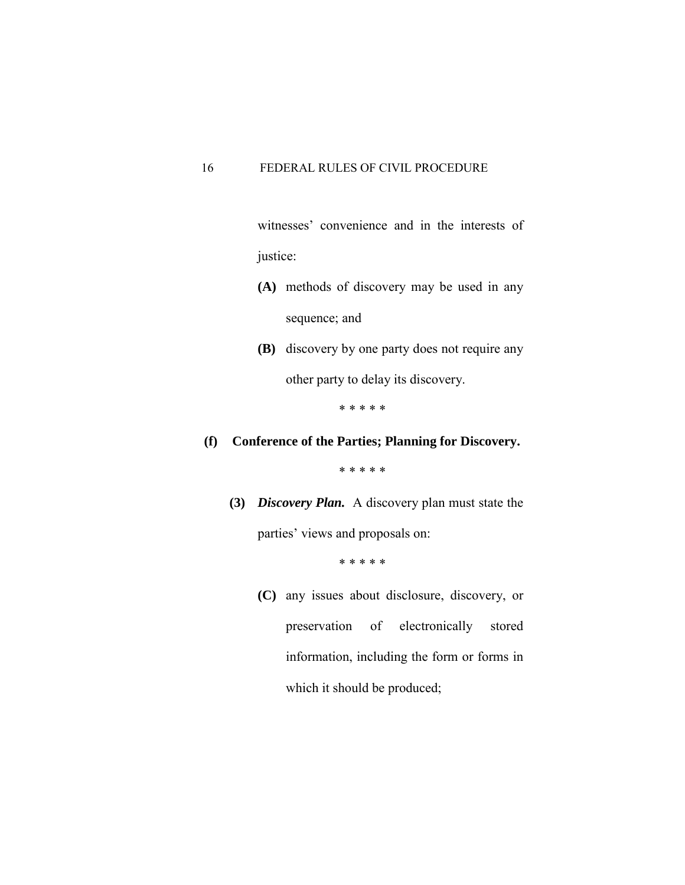witnesses' convenience and in the interests of justice:

- **(A)** methods of discovery may be used in any sequence; and
- **(B)** discovery by one party does not require any other party to delay its discovery.

\* \* \* \* \*

# **(f) Conference of the Parties; Planning for Discovery.**

\* \* \* \* \*

**(3)** *Discovery Plan.* A discovery plan must state the parties' views and proposals on:

\* \* \* \* \*

 **(C)** any issues about disclosure, discovery, or preservation of electronically stored information, including the form or forms in which it should be produced;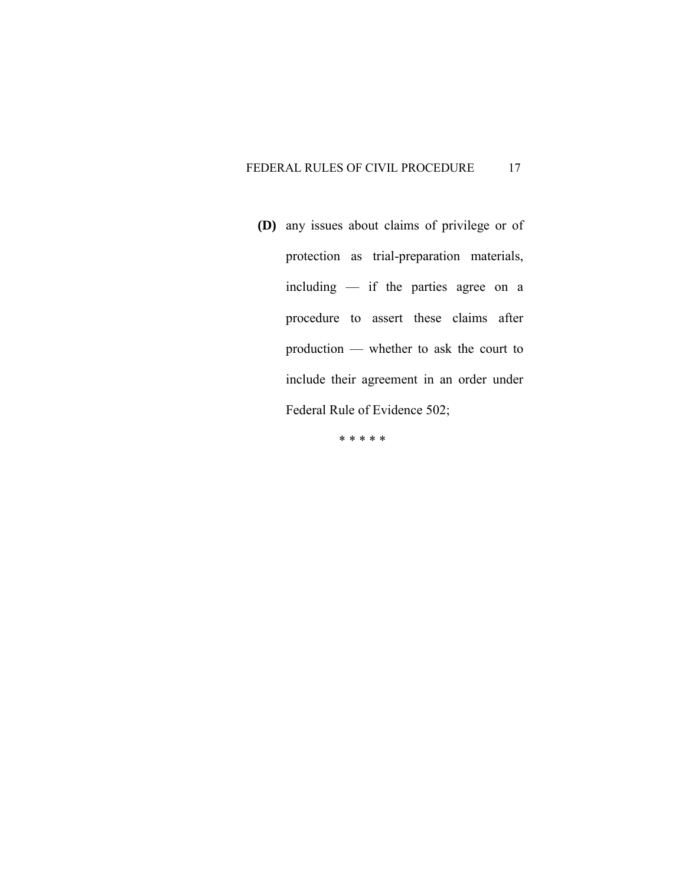**(D)** any issues about claims of privilege or of protection as trial-preparation materials, including — if the parties agree on a procedure to assert these claims after production — whether to ask the court to include their agreement in an order under Federal Rule of Evidence 502;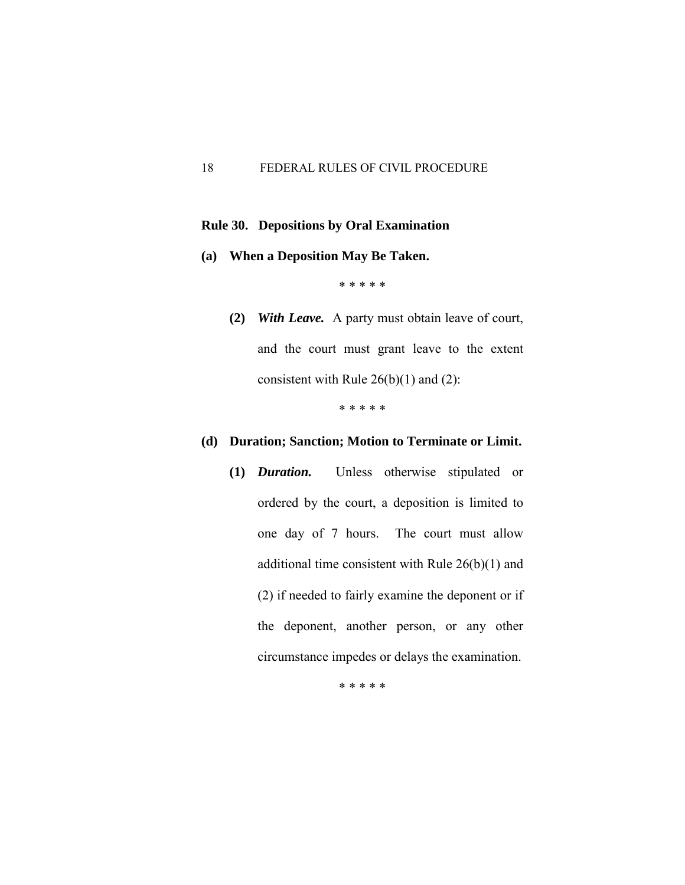#### **Rule 30. Depositions by Oral Examination**

**(a) When a Deposition May Be Taken.** 

\* \* \* \* \*

**(2)** *With Leave.* A party must obtain leave of court, and the court must grant leave to the extent consistent with Rule  $26(b)(1)$  and  $(2)$ :

\* \* \* \* \*

## **(d) Duration; Sanction; Motion to Terminate or Limit.**

 **(1)** *Duration.* Unless otherwise stipulated or ordered by the court, a deposition is limited to one day of 7 hours. The court must allow additional time consistent with Rule 26(b)(1) and (2) if needed to fairly examine the deponent or if the deponent, another person, or any other circumstance impedes or delays the examination.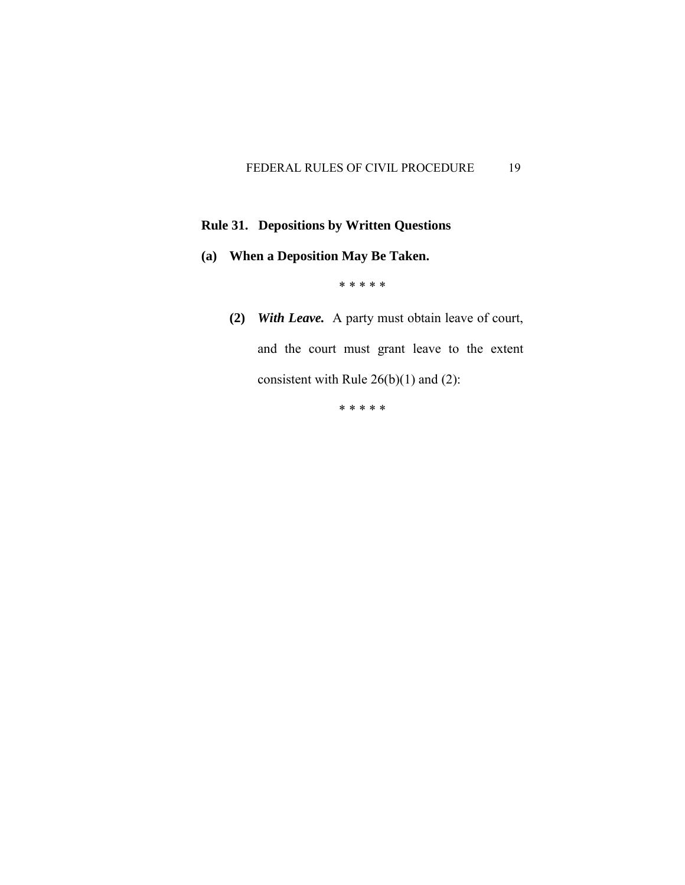# **Rule 31. Depositions by Written Questions**

**(a) When a Deposition May Be Taken.** 

## \* \* \* \* \*

**(2)** *With Leave.* A party must obtain leave of court, and the court must grant leave to the extent consistent with Rule  $26(b)(1)$  and  $(2)$ :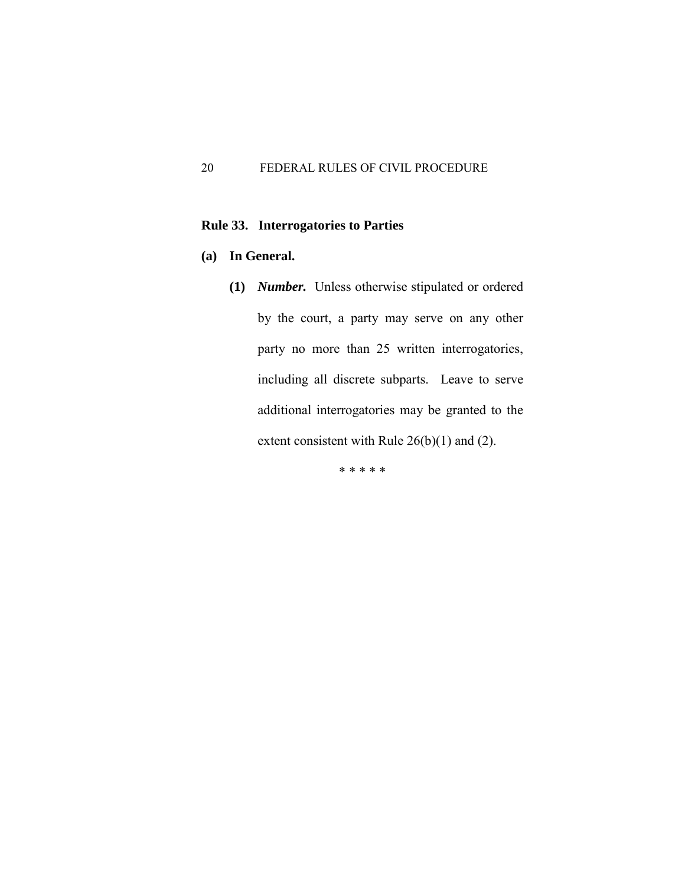## **Rule 33. Interrogatories to Parties**

## **(a) In General.**

 **(1)** *Number.* Unless otherwise stipulated or ordered by the court, a party may serve on any other party no more than 25 written interrogatories, including all discrete subparts. Leave to serve additional interrogatories may be granted to the extent consistent with Rule 26(b)(1) and (2).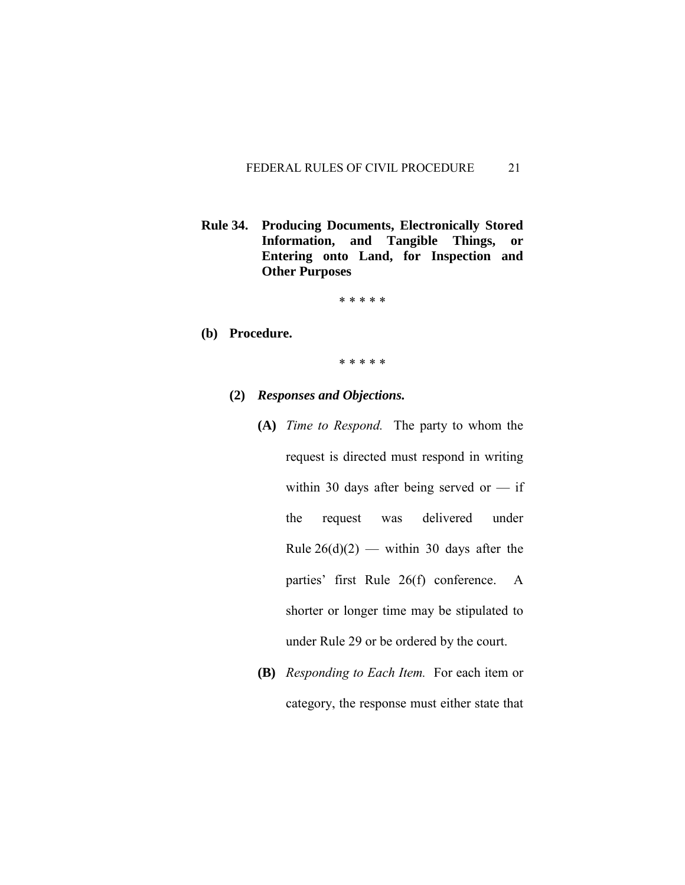**Rule 34. Producing Documents, Electronically Stored Information, and Tangible Things, or Entering onto Land, for Inspection and Other Purposes**

\* \* \* \* \*

**(b) Procedure.** 

- **(2)** *Responses and Objections.*
	- **(A)** *Time to Respond.* The party to whom the request is directed must respond in writing within 30 days after being served or  $-$  if the request was delivered under Rule  $26(d)(2)$  — within 30 days after the parties' first Rule 26(f) conference. A shorter or longer time may be stipulated to under Rule 29 or be ordered by the court.
	- **(B)** *Responding to Each Item.* For each item or category, the response must either state that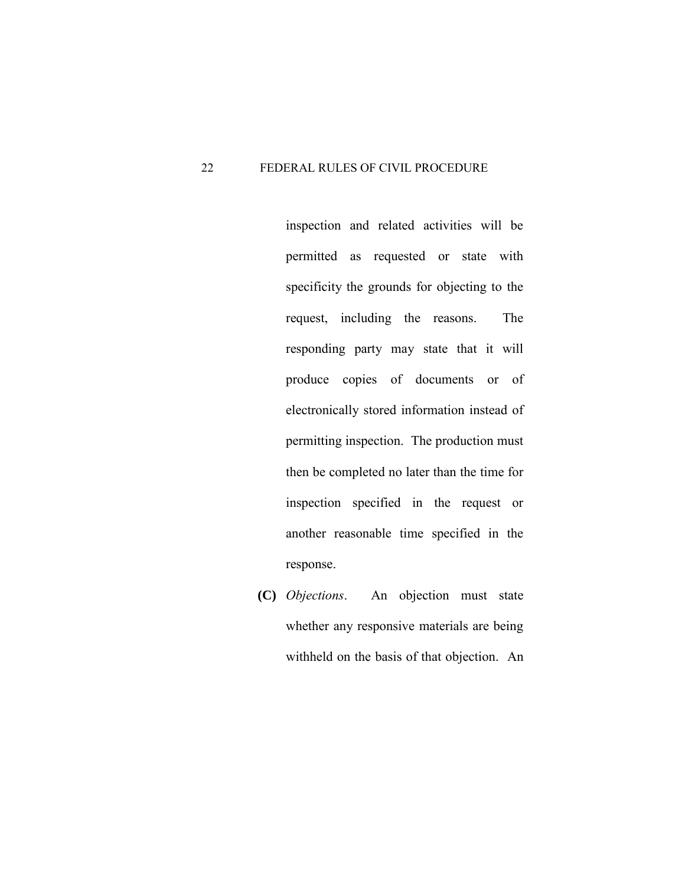inspection and related activities will be permitted as requested or state with specificity the grounds for objecting to the request, including the reasons. The responding party may state that it will produce copies of documents or of electronically stored information instead of permitting inspection. The production must then be completed no later than the time for inspection specified in the request or another reasonable time specified in the response.

 **(C)** *Objections*. An objection must state whether any responsive materials are being withheld on the basis of that objection. An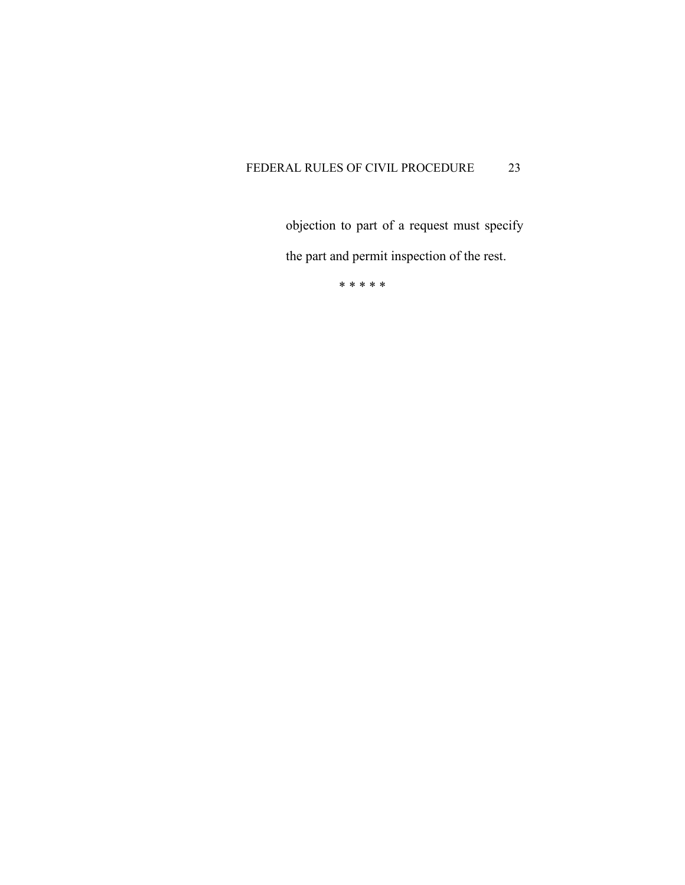objection to part of a request must specify the part and permit inspection of the rest.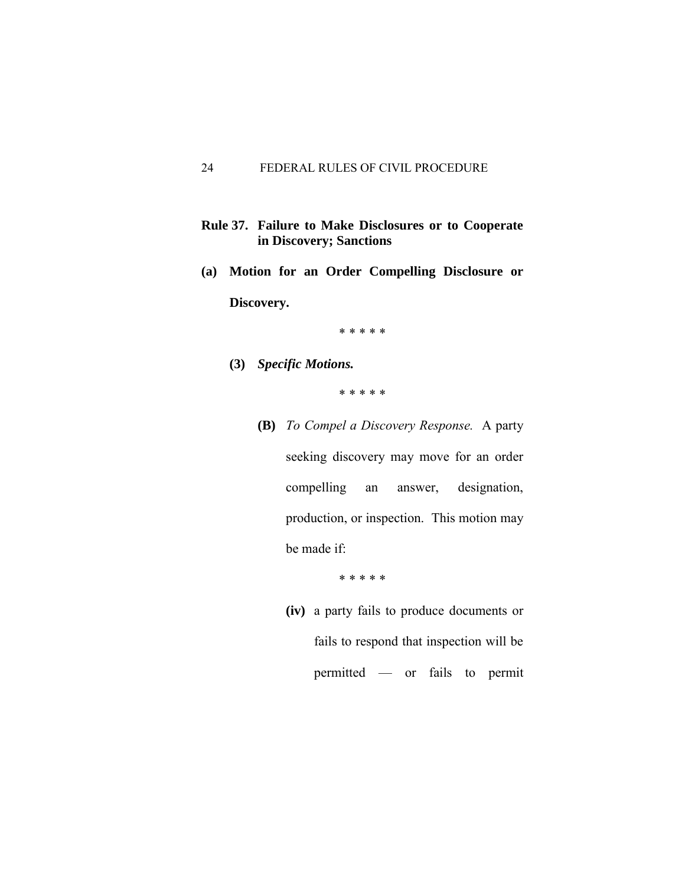- **Rule 37. Failure to Make Disclosures or to Cooperate in Discovery; Sanctions**
- **(a) Motion for an Order Compelling Disclosure or Discovery.**

\* \* \* \* \*

**(3)** *Specific Motions.*

\* \* \* \* \*

 **(B)** *To Compel a Discovery Response.* A party seeking discovery may move for an order compelling an answer, designation, production, or inspection. This motion may be made if:

\* \* \* \* \*

 **(iv)** a party fails to produce documents or fails to respond that inspection will be permitted — or fails to permit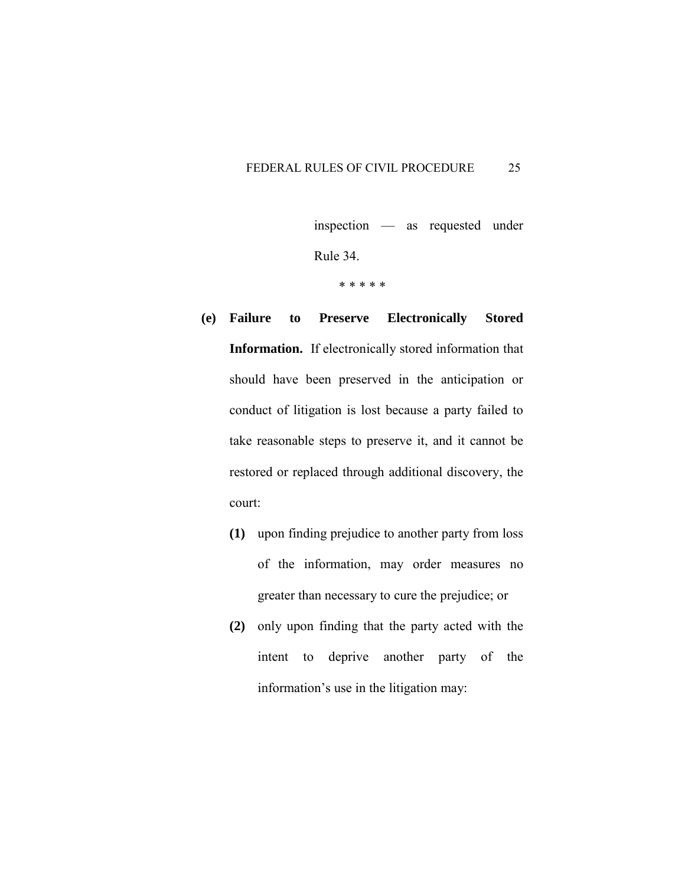inspection — as requested under

Rule 34.

- **(e) Failure to Preserve Electronically Stored Information.** If electronically stored information that should have been preserved in the anticipation or conduct of litigation is lost because a party failed to take reasonable steps to preserve it, and it cannot be restored or replaced through additional discovery, the court:
	- **(1)** upon finding prejudice to another party from loss of the information, may order measures no greater than necessary to cure the prejudice; or
	- **(2)** only upon finding that the party acted with the intent to deprive another party of the information's use in the litigation may: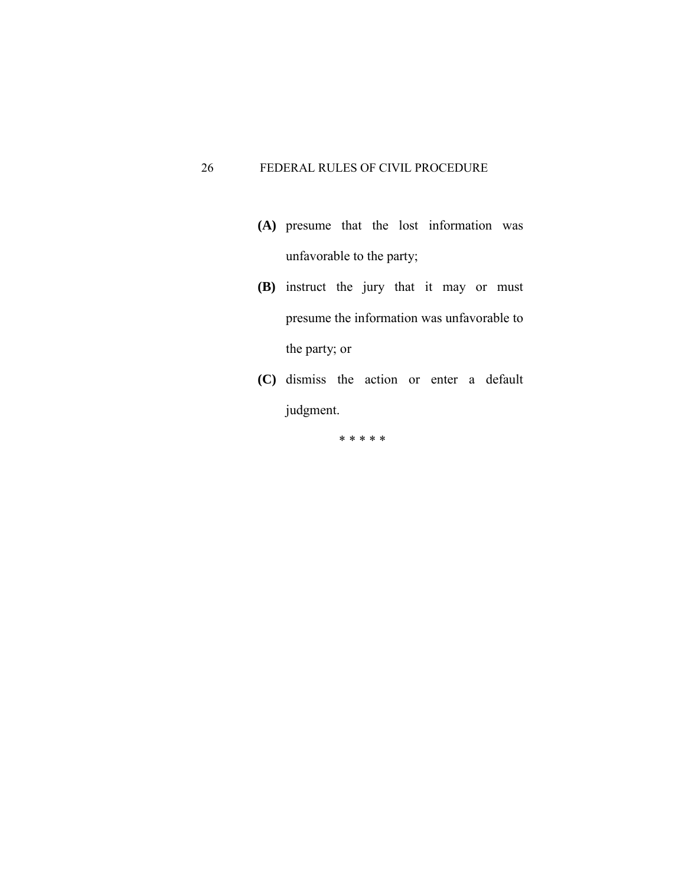- **(A)** presume that the lost information was unfavorable to the party;
- **(B)** instruct the jury that it may or must presume the information was unfavorable to the party; or
- **(C)** dismiss the action or enter a default judgment.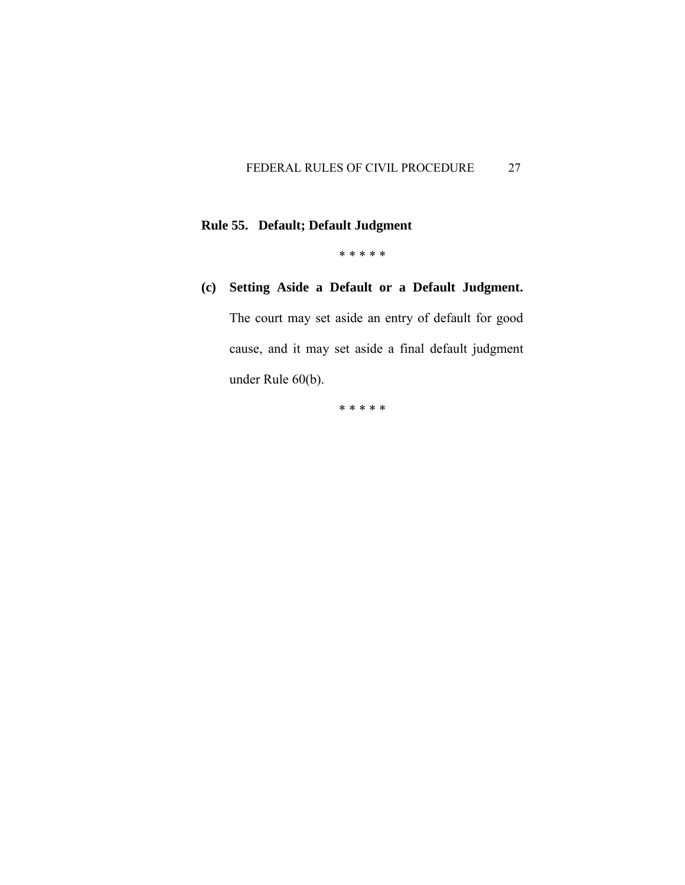# **Rule 55. Default; Default Judgment**

\* \* \* \* \*

# **(c) Setting Aside a Default or a Default Judgment.**

The court may set aside an entry of default for good cause, and it may set aside a final default judgment under Rule 60(b).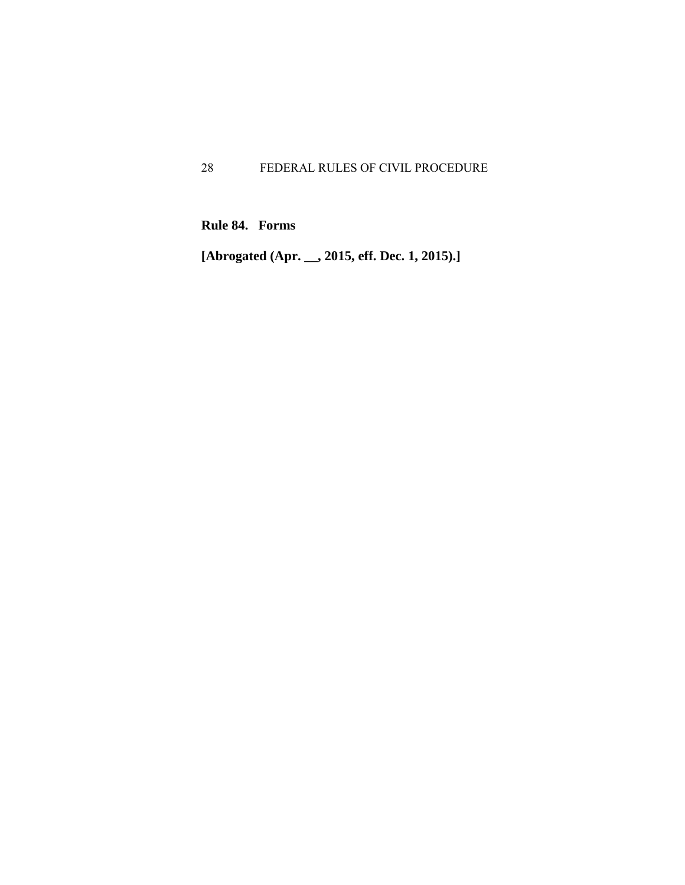**Rule 84. Forms** 

**[Abrogated (Apr. \_\_, 2015, eff. Dec. 1, 2015).]**